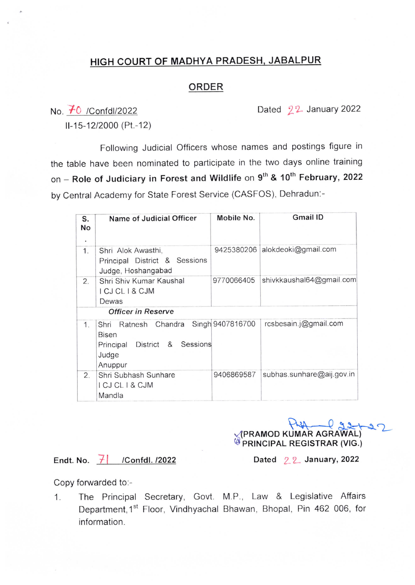## HIGH COURT OF MADHYA PRADESH, JABALPUR

## ORDER

No.  $\overline{f}0$  /Confdl/2022 Dated  $2^2$ -January 2022

ll-15-12/2000 (Pt.-12)

Following Judicial Officers whose names and postings figure in the table have been nominated to participate in the two days online training on - Role of Judiciary in Forest and Wildlife on  $9^{th}$  & 10<sup>th</sup> February, 2022 by Central Academy for State Forest Service (CASFOS), Dehradun:-

| S.<br>No<br>٠ | Name of Judicial Officer                                                                           | Mobile No.       | <b>Gmail ID</b>           |
|---------------|----------------------------------------------------------------------------------------------------|------------------|---------------------------|
| 1.            | Shri Alok Awasthi,<br>Principal District & Sessions<br>Judge, Hoshangabad                          | 9425380206       | alokdeoki@gmail.com       |
| 2.            | Shri Shiv Kumar Kaushal<br>I CJ CL I & CJM<br>Dewas<br>Officer in Reserve                          | 9770066405       | shivkkaushal64@gmail.com  |
|               |                                                                                                    |                  |                           |
| 1.            | Shri Ratnesh Chandra<br><b>Bisen</b><br>&<br>Sessions<br>District<br>Principal<br>Judge<br>Anuppur | Singh 9407816700 | rcsbesain.j@gmail.com     |
| 2.            | Shri Subhash Sunhare<br>I CJ CL I & CJM<br>Mandla                                                  | 9406869587       | subhas.sunhare@aij.gov.in |

Veramod Kumar Agrawal)

Endt. No.  $\overline{7}$  /Confdl. /2022

Dated  $22$  January, 2022

Copy forwarded to:-

1. The Principal Secretary, Govt. M.P., Law & Legislative Affairs Department, 1<sup>st</sup> Floor, Vindhyachal Bhawan, Bhopal, Pin 462 006, for information.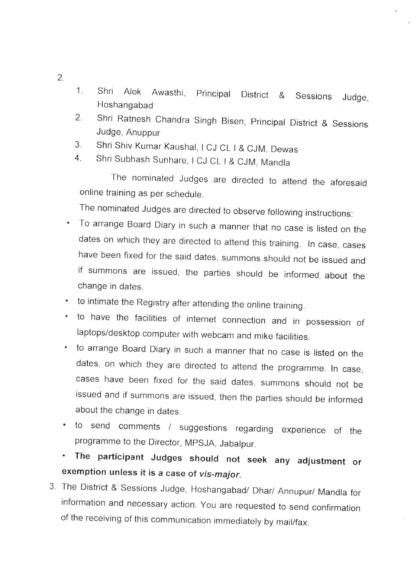- 1. Shri Alok Awasthi, Principal District & Sessions Judge, Hoshangabad
- 2. Shrj Ratnesh Chandra Singh Bisen, Principal District & Sessions Judge, Anuppur
- 3. Shri Shiv Kumar Kaushal, I CJ CL I & CJM, Dewas
- 4. Shri Subhash Sunhare, I CJ CL I & CJM, Mandla

The nominated Judges are directed to attend the aforesaid online training as per schedule.

The nominated Judges are directed to observe following instructions:

- To arrange Board Diary in such a manner that no case is listed on the dates on which they are directed to attend this training. In case, cases have been fixed for the said dates, summons should not be issued and if summons are issued, the parties should be informed about the change in dates.
- to intimate the Registry after attending the online training.
- to have the facilities of internet connection and in possession of laptops/desktop computer with webcam and mike facilities.
- to arrange Board Diary in such a manner that no case is listed on the dates, on which they are directed to attend the programme. In case, cases have been fixed for the said dates, summons should not be issued and if summons are issued, then the parties should be informed about the change in dates.
- to send comments / suggestions regarding experience of the programme to the Director, MPSJA, Jabalpur.
- The participant Judges should not seek any adjustment or exemption unless it is a case of vis-major.
- 3. The District & Sessions Judge, Hoshangabad/ Dhar/ Annupur/ Mandla for information and necessary action. You are requested to send confirmation of the receiving of this communication immediately by mail/fax.

 $2.$